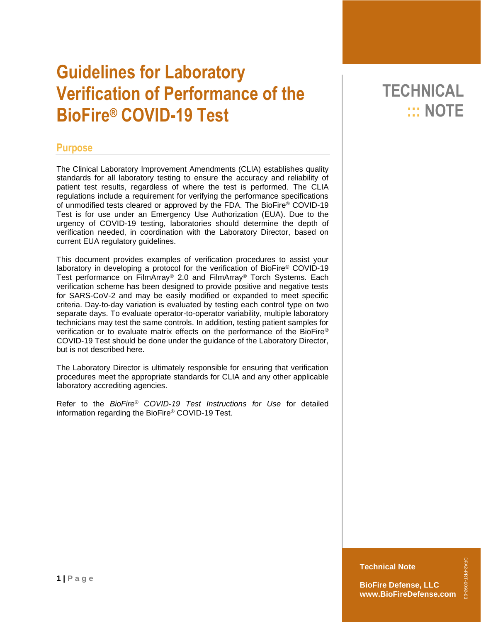# **Guidelines for Laboratory Verification of Performance of the BioFire® COVID-19 Test**

### **Purpose**

The Clinical Laboratory Improvement Amendments (CLIA) establishes quality standards for all laboratory testing to ensure the accuracy and reliability of patient test results, regardless of where the test is performed. The CLIA regulations include a requirement for verifying the performance specifications of unmodified tests cleared or approved by the FDA. The BioFire® COVID-19 Test is for use under an Emergency Use Authorization (EUA). Due to the urgency of COVID-19 testing, laboratories should determine the depth of verification needed, in coordination with the Laboratory Director, based on current EUA regulatory guidelines.

This document provides examples of verification procedures to assist your laboratory in developing a protocol for the verification of BioFire® COVID-19 Test performance on FilmArray® 2.0 and FilmArray® Torch Systems. Each verification scheme has been designed to provide positive and negative tests for SARS-CoV-2 and may be easily modified or expanded to meet specific criteria. Day-to-day variation is evaluated by testing each control type on two separate days. To evaluate operator-to-operator variability, multiple laboratory technicians may test the same controls. In addition, testing patient samples for verification or to evaluate matrix effects on the performance of the BioFire® COVID-19 Test should be done under the guidance of the Laboratory Director, but is not described here.

The Laboratory Director is ultimately responsible for ensuring that verification procedures meet the appropriate standards for CLIA and any other applicable laboratory accrediting agencies.

Refer to the *BioFire® COVID-19 Test Instructions for Use* for detailed information regarding the BioFire® COVID-19 Test.

# **TECHNICAL ::: NOTE**

**Technical Note**

**BioFire Defense, LLC www.BioFireDefense.com** DFA2-PRT-0092-03

DFA2-PRT-0092-0: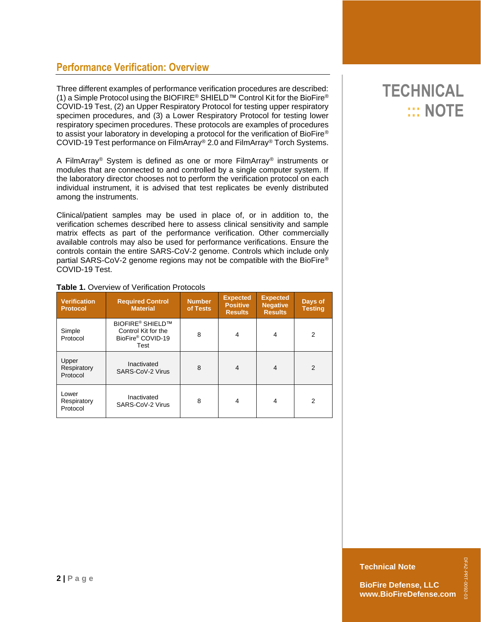### **Performance Verification: Overview**

Three different examples of performance verification procedures are described: (1) a Simple Protocol using the BIOFIRE® SHIELD™ Control Kit for the BioFire® COVID-19 Test, (2) an Upper Respiratory Protocol for testing upper respiratory specimen procedures, and (3) a Lower Respiratory Protocol for testing lower respiratory specimen procedures. These protocols are examples of procedures to assist your laboratory in developing a protocol for the verification of BioFire® COVID-19 Test performance on FilmArray® 2.0 and FilmArray® Torch Systems.

A FilmArray® System is defined as one or more FilmArray® instruments or modules that are connected to and controlled by a single computer system. If the laboratory director chooses not to perform the verification protocol on each individual instrument, it is advised that test replicates be evenly distributed among the instruments.

Clinical/patient samples may be used in place of, or in addition to, the verification schemes described here to assess clinical sensitivity and sample matrix effects as part of the performance verification. Other commercially available controls may also be used for performance verifications. Ensure the controls contain the entire SARS-CoV-2 genome. Controls which include only partial SARS-CoV-2 genome regions may not be compatible with the BioFire® COVID-19 Test.

| <b>Verification</b><br><b>Protocol</b> | <b>Required Control</b><br><b>Material</b>                                             | <b>Number</b><br>of Tests | <b>Expected</b><br><b>Positive</b><br><b>Results</b> | <b>Expected</b><br><b>Negative</b><br><b>Results</b> | Days of<br><b>Testing</b> |
|----------------------------------------|----------------------------------------------------------------------------------------|---------------------------|------------------------------------------------------|------------------------------------------------------|---------------------------|
| Simple<br>Protocol                     | <b>BIOFIRE<sup>®</sup> SHIELD™</b><br>Control Kit for the<br>BioFire® COVID-19<br>Test | 8                         | $\overline{4}$                                       | 4                                                    | 2                         |
| Upper<br>Respiratory<br>Protocol       | Inactivated<br>SARS-CoV-2 Virus                                                        | 8                         | $\overline{4}$                                       | $\overline{4}$                                       | 2                         |
| Lower<br>Respiratory<br>Protocol       | Inactivated<br>SARS-CoV-2 Virus                                                        | 8                         | 4                                                    | 4                                                    | 2                         |

#### **Table 1.** Overview of Verification Protocols

# **TECHNICAL ::: NOTE**

DFA2-PRT-0092-03

DFA2-PRT-0092-0: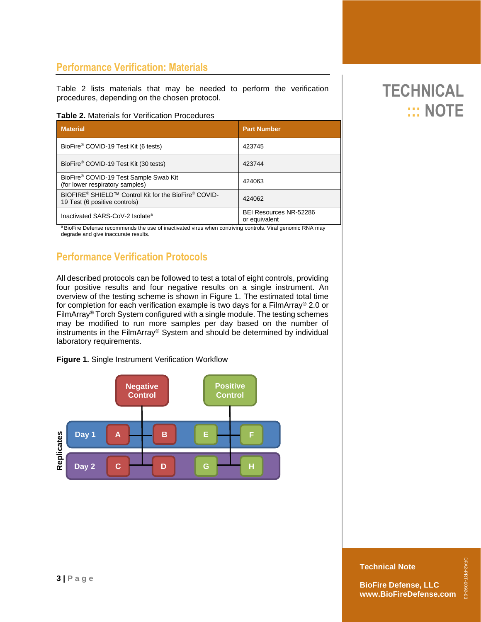### **Performance Verification: Materials**

Table 2 lists materials that may be needed to perform the verification procedures, depending on the chosen protocol.

#### **Table 2.** Materials for Verification Procedures

| <b>Material</b>                                                                                               | <b>Part Number</b>                             |  |  |
|---------------------------------------------------------------------------------------------------------------|------------------------------------------------|--|--|
| BioFire® COVID-19 Test Kit (6 tests)                                                                          | 423745                                         |  |  |
| BioFire® COVID-19 Test Kit (30 tests)                                                                         | 423744                                         |  |  |
| BioFire® COVID-19 Test Sample Swab Kit<br>(for lower respiratory samples)                                     | 424063                                         |  |  |
| BIOFIRE <sup>®</sup> SHIELD™ Control Kit for the BioFire <sup>®</sup> COVID-<br>19 Test (6 positive controls) | 424062                                         |  |  |
| Inactivated SARS-CoV-2 Isolate <sup>a</sup>                                                                   | <b>BEI Resources NR-52286</b><br>or equivalent |  |  |

a BioFire Defense recommends the use of inactivated virus when contriving controls. Viral genomic RNA may degrade and give inaccurate results.

## **Performance Verification Protocols**

All described protocols can be followed to test a total of eight controls, providing four positive results and four negative results on a single instrument. An overview of the testing scheme is shown in Figure 1. The estimated total time for completion for each verification example is two days for a FilmArray® 2.0 or FilmArray® Torch System configured with a single module. The testing schemes may be modified to run more samples per day based on the number of instruments in the FilmArray® System and should be determined by individual laboratory requirements.

**Figure 1.** Single Instrument Verification Workflow



# **TECHNICAL ::: NOTE**

**Technical Note**

DFA2-PRT-0092-03

DFA2-PRT-0092-03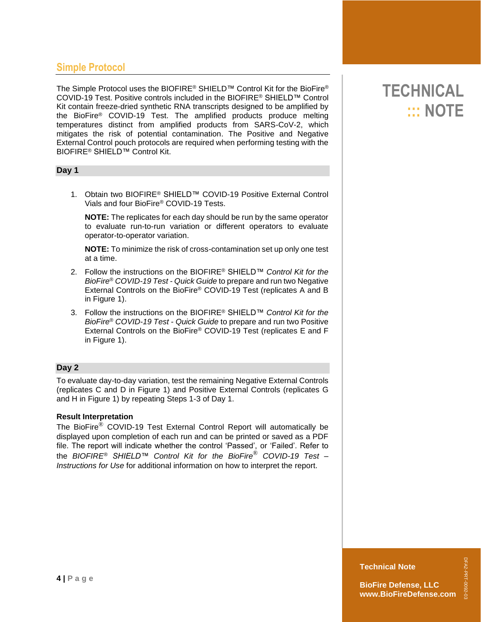### **Simple Protocol**

The Simple Protocol uses the BIOFIRE® SHIELD™ Control Kit for the BioFire® COVID-19 Test. Positive controls included in the BIOFIRE® SHIELD™ Control Kit contain freeze-dried synthetic RNA transcripts designed to be amplified by the BioFire® COVID-19 Test. The amplified products produce melting temperatures distinct from amplified products from SARS-CoV-2, which mitigates the risk of potential contamination. The Positive and Negative External Control pouch protocols are required when performing testing with the BIOFIRE® SHIELD™ Control Kit.

#### **Day 1**

1. Obtain two BIOFIRE® SHIELD™ COVID-19 Positive External Control Vials and four BioFire® COVID-19 Tests.

**NOTE:** The replicates for each day should be run by the same operator to evaluate run-to-run variation or different operators to evaluate operator-to-operator variation.

**NOTE:** To minimize the risk of cross-contamination set up only one test at a time.

- 2. Follow the instructions on the BIOFIRE® SHIELD™ *Control Kit for the BioFire*® *COVID-19 Test - Quick Guide* to prepare and run two Negative External Controls on the BioFire® COVID-19 Test (replicates A and B in Figure 1).
- 3. Follow the instructions on the BIOFIRE® SHIELD™ *Control Kit for the BioFire*® *COVID-19 Test - Quick Guide* to prepare and run two Positive External Controls on the BioFire® COVID-19 Test (replicates E and F in Figure 1).

#### **Day 2**

To evaluate day-to-day variation, test the remaining Negative External Controls (replicates C and D in Figure 1) and Positive External Controls (replicates G and H in Figure 1) by repeating Steps 1-3 of Day 1.

#### **Result Interpretation**

The BioFire® COVID-19 Test External Control Report will automatically be displayed upon completion of each run and can be printed or saved as a PDF file. The report will indicate whether the control 'Passed', or 'Failed'. Refer to the *BIOFIRE® SHIELD™ Control Kit for the BioFire*® *COVID-19 Test – Instructions for Use* for additional information on how to interpret the report.

# **TECHNICAL ::: NOTE**

#### **Technical Note**

DFA2-PRT-0092-03

DFA2-PRT-0092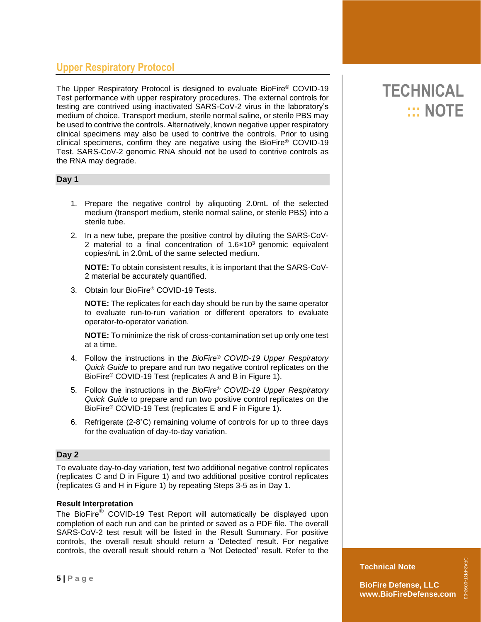## **Upper Respiratory Protocol**

The Upper Respiratory Protocol is designed to evaluate BioFire® COVID-19 Test performance with upper respiratory procedures. The external controls for testing are contrived using inactivated SARS-CoV-2 virus in the laboratory's medium of choice. Transport medium, sterile normal saline, or sterile PBS may be used to contrive the controls. Alternatively, known negative upper respiratory clinical specimens may also be used to contrive the controls. Prior to using clinical specimens, confirm they are negative using the BioFire® COVID-19 Test. SARS-CoV-2 genomic RNA should not be used to contrive controls as the RNA may degrade.

#### **Day 1**

- 1. Prepare the negative control by aliquoting 2.0mL of the selected medium (transport medium, sterile normal saline, or sterile PBS) into a sterile tube.
- 2. In a new tube, prepare the positive control by diluting the SARS-CoV-2 material to a final concentration of  $1.6 \times 10^3$  genomic equivalent copies/mL in 2.0mL of the same selected medium.

**NOTE:** To obtain consistent results, it is important that the SARS-CoV-2 material be accurately quantified.

3. Obtain four BioFire® COVID-19 Tests.

**NOTE:** The replicates for each day should be run by the same operator to evaluate run-to-run variation or different operators to evaluate operator-to-operator variation.

**NOTE:** To minimize the risk of cross-contamination set up only one test at a time.

- 4. Follow the instructions in the *BioFire*® *COVID-19 Upper Respiratory Quick Guide* to prepare and run two negative control replicates on the BioFire® COVID-19 Test (replicates A and B in Figure 1).
- 5. Follow the instructions in the *BioFire*® *COVID-19 Upper Respiratory Quick Guide* to prepare and run two positive control replicates on the BioFire® COVID-19 Test (replicates E and F in Figure 1).
- 6. Refrigerate (2-8˚C) remaining volume of controls for up to three days for the evaluation of day-to-day variation.

#### **Day 2**

To evaluate day-to-day variation, test two additional negative control replicates (replicates C and D in Figure 1) and two additional positive control replicates (replicates G and H in Figure 1) by repeating Steps 3-5 as in Day 1.

#### **Result Interpretation**

The BioFire® COVID-19 Test Report will automatically be displayed upon completion of each run and can be printed or saved as a PDF file. The overall SARS-CoV-2 test result will be listed in the Result Summary. For positive controls, the overall result should return a 'Detected' result. For negative controls, the overall result should return a 'Not Detected' result. Refer to the

# **TECHNICAL ::: NOTE**

#### **Technical Note**

**BioFire Defense, LLC www.BioFireDefense.com**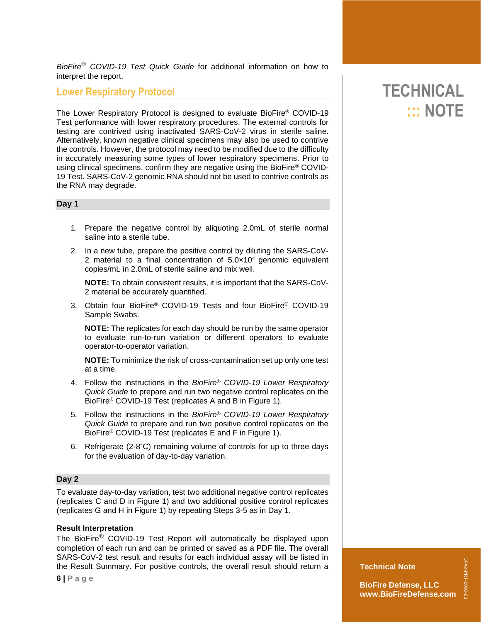*BioFire*® *COVID-19 Test Quick Guide* for additional information on how to interpret the report.

### **Lower Respiratory Protocol**

The Lower Respiratory Protocol is designed to evaluate BioFire® COVID-19 Test performance with lower respiratory procedures. The external controls for testing are contrived using inactivated SARS-CoV-2 virus in sterile saline. Alternatively, known negative clinical specimens may also be used to contrive the controls. However, the protocol may need to be modified due to the difficulty in accurately measuring some types of lower respiratory specimens. Prior to using clinical specimens, confirm they are negative using the BioFire® COVID-19 Test. SARS-CoV-2 genomic RNA should not be used to contrive controls as the RNA may degrade.

#### **Day 1**

- 1. Prepare the negative control by aliquoting 2.0mL of sterile normal saline into a sterile tube.
- 2. In a new tube, prepare the positive control by diluting the SARS-CoV-2 material to a final concentration of 5.0×10<sup>4</sup> genomic equivalent copies/mL in 2.0mL of sterile saline and mix well.

**NOTE:** To obtain consistent results, it is important that the SARS-CoV-2 material be accurately quantified.

3. Obtain four BioFire® COVID-19 Tests and four BioFire® COVID-19 Sample Swabs.

**NOTE:** The replicates for each day should be run by the same operator to evaluate run-to-run variation or different operators to evaluate operator-to-operator variation.

**NOTE:** To minimize the risk of cross-contamination set up only one test at a time.

- 4. Follow the instructions in the *BioFire*® *COVID-19 Lower Respiratory Quick Guide* to prepare and run two negative control replicates on the BioFire® COVID-19 Test (replicates A and B in Figure 1).
- 5. Follow the instructions in the *BioFire*® *COVID-19 Lower Respiratory Quick Guide* to prepare and run two positive control replicates on the BioFire® COVID-19 Test (replicates E and F in Figure 1).
- 6. Refrigerate (2-8˚C) remaining volume of controls for up to three days for the evaluation of day-to-day variation.

#### **Day 2**

To evaluate day-to-day variation, test two additional negative control replicates (replicates C and D in Figure 1) and two additional positive control replicates (replicates G and H in Figure 1) by repeating Steps 3-5 as in Day 1.

#### **Result Interpretation**

The BioFire® COVID-19 Test Report will automatically be displayed upon completion of each run and can be printed or saved as a PDF file. The overall SARS-CoV-2 test result and results for each individual assay will be listed in the Result Summary. For positive controls, the overall result should return a

# **TECHNICAL ::: NOTE**

#### **Technical Note**

**BioFire Defense, LLC www.BioFireDefense.com**